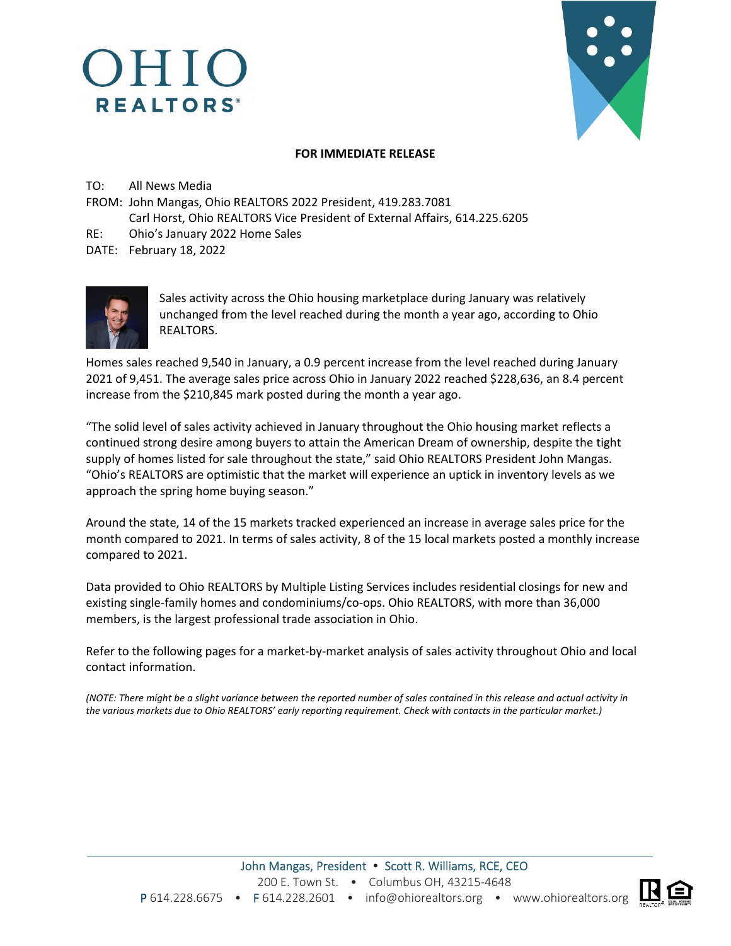# OHIO **REALTORS**<sup>®</sup>

## **FOR IMMEDIATE RELEASE**

TO: All News Media

- FROM: John Mangas, Ohio REALTORS 2022 President, 419.283.7081 Carl Horst, Ohio REALTORS Vice President of External Affairs, 614.225.6205
- RE: Ohio's January 2022 Home Sales

DATE: February 18, 2022



Sales activity across the Ohio housing marketplace during January was relatively unchanged from the level reached during the month a year ago, according to Ohio REALTORS.

Homes sales reached 9,540 in January, a 0.9 percent increase from the level reached during January 2021 of 9,451. The average sales price across Ohio in January 2022 reached \$228,636, an 8.4 percent increase from the \$210,845 mark posted during the month a year ago.

"The solid level of sales activity achieved in January throughout the Ohio housing market reflects a continued strong desire among buyers to attain the American Dream of ownership, despite the tight supply of homes listed for sale throughout the state," said Ohio REALTORS President John Mangas. "Ohio's REALTORS are optimistic that the market will experience an uptick in inventory levels as we approach the spring home buying season."

Around the state, 14 of the 15 markets tracked experienced an increase in average sales price for the month compared to 2021. In terms of sales activity, 8 of the 15 local markets posted a monthly increase compared to 2021.

Data provided to Ohio REALTORS by Multiple Listing Services includes residential closings for new and existing single-family homes and condominiums/co-ops. Ohio REALTORS, with more than 36,000 members, is the largest professional trade association in Ohio.

Refer to the following pages for a market-by-market analysis of sales activity throughout Ohio and local contact information.

*(NOTE: There might be a slight variance between the reported number of sales contained in this release and actual activity in the various markets due to Ohio REALTORS' early reporting requirement. Check with contacts in the particular market.)* 

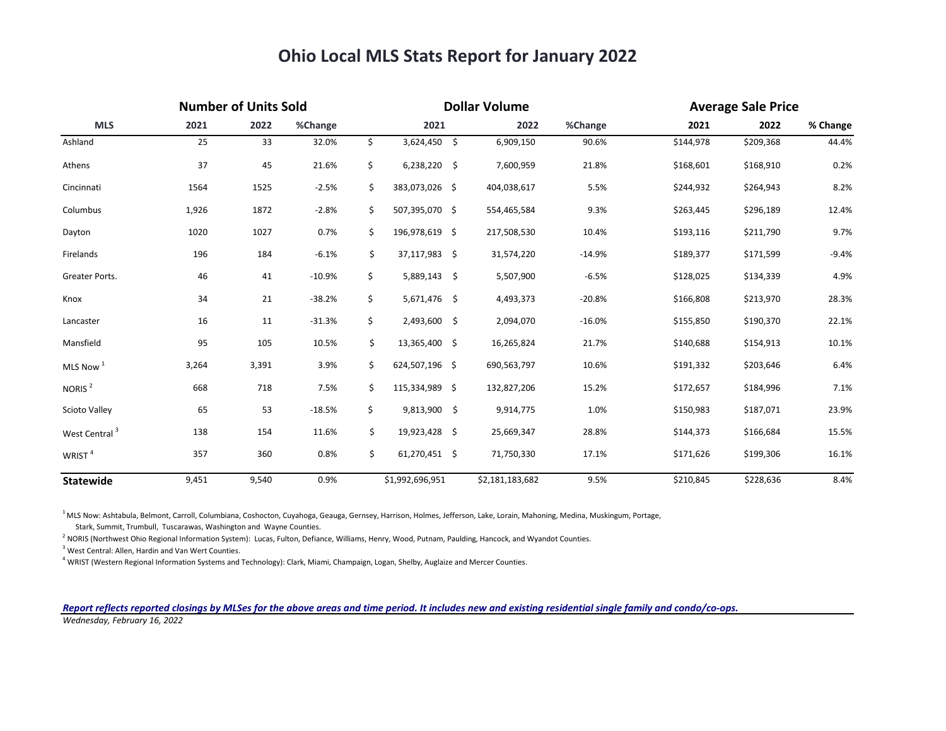## **Ohio Local MLS Stats Report for January 2022**

| <b>MLS</b>                | <b>Number of Units Sold</b> |       |          | <b>Dollar Volume</b> |                 |                 |          |           | <b>Average Sale Price</b> |          |  |
|---------------------------|-----------------------------|-------|----------|----------------------|-----------------|-----------------|----------|-----------|---------------------------|----------|--|
|                           | 2021                        | 2022  | %Change  |                      | 2021            | 2022            | %Change  | 2021      | 2022                      | % Change |  |
| Ashland                   | 25                          | 33    | 32.0%    | \$                   | 3,624,450<br>\$ | 6,909,150       | 90.6%    | \$144,978 | \$209,368                 | 44.4%    |  |
| Athens                    | 37                          | 45    | 21.6%    | \$                   | 6,238,220<br>\$ | 7,600,959       | 21.8%    | \$168,601 | \$168,910                 | 0.2%     |  |
| Cincinnati                | 1564                        | 1525  | $-2.5%$  | \$                   | 383,073,026 \$  | 404,038,617     | 5.5%     | \$244,932 | \$264,943                 | 8.2%     |  |
| Columbus                  | 1,926                       | 1872  | $-2.8%$  | \$                   | 507,395,070 \$  | 554,465,584     | 9.3%     | \$263,445 | \$296,189                 | 12.4%    |  |
| Dayton                    | 1020                        | 1027  | 0.7%     | \$                   | 196,978,619 \$  | 217,508,530     | 10.4%    | \$193,116 | \$211,790                 | 9.7%     |  |
| Firelands                 | 196                         | 184   | $-6.1%$  | \$                   | 37,117,983 \$   | 31,574,220      | $-14.9%$ | \$189,377 | \$171,599                 | $-9.4%$  |  |
| Greater Ports.            | 46                          | 41    | $-10.9%$ | \$                   | 5,889,143<br>\$ | 5,507,900       | $-6.5%$  | \$128,025 | \$134,339                 | 4.9%     |  |
| Knox                      | 34                          | 21    | $-38.2%$ | \$                   | 5,671,476 \$    | 4,493,373       | $-20.8%$ | \$166,808 | \$213,970                 | 28.3%    |  |
| Lancaster                 | 16                          | 11    | $-31.3%$ | \$                   | 2,493,600 \$    | 2,094,070       | $-16.0%$ | \$155,850 | \$190,370                 | 22.1%    |  |
| Mansfield                 | 95                          | 105   | 10.5%    | \$                   | 13,365,400 \$   | 16,265,824      | 21.7%    | \$140,688 | \$154,913                 | 10.1%    |  |
| MLS Now <sup>1</sup>      | 3,264                       | 3,391 | 3.9%     | \$                   | 624,507,196 \$  | 690,563,797     | 10.6%    | \$191,332 | \$203,646                 | 6.4%     |  |
| NORIS <sup>2</sup>        | 668                         | 718   | 7.5%     | \$                   | 115,334,989 \$  | 132,827,206     | 15.2%    | \$172,657 | \$184,996                 | 7.1%     |  |
| <b>Scioto Valley</b>      | 65                          | 53    | $-18.5%$ | \$                   | 9,813,900 \$    | 9,914,775       | 1.0%     | \$150,983 | \$187,071                 | 23.9%    |  |
| West Central <sup>3</sup> | 138                         | 154   | 11.6%    | \$                   | 19,923,428 \$   | 25,669,347      | 28.8%    | \$144,373 | \$166,684                 | 15.5%    |  |
| WRIST <sup>4</sup>        | 357                         | 360   | 0.8%     | \$                   | 61,270,451 \$   | 71,750,330      | 17.1%    | \$171,626 | \$199,306                 | 16.1%    |  |
| <b>Statewide</b>          | 9,451                       | 9,540 | 0.9%     |                      | \$1,992,696,951 | \$2,181,183,682 | 9.5%     | \$210,845 | \$228,636                 | 8.4%     |  |

<sup>1</sup> MLS Now: Ashtabula, Belmont, Carroll, Columbiana, Coshocton, Cuyahoga, Geauga, Gernsey, Harrison, Holmes, Jefferson, Lake, Lorain, Mahoning, Medina, Muskingum, Portage,

Stark, Summit, Trumbull, Tuscarawas, Washington and Wayne Counties.

<sup>2</sup> NORIS (Northwest Ohio Regional Information System): Lucas, Fulton, Defiance, Williams, Henry, Wood, Putnam, Paulding, Hancock, and Wyandot Counties.

<sup>3</sup> West Central: Allen, Hardin and Van Wert Counties.

4 WRIST (Western Regional Information Systems and Technology): Clark, Miami, Champaign, Logan, Shelby, Auglaize and Mercer Counties.

#### *Report reflects reported closings by MLSes for the above areas and time period. It includes new and existing residential single family and condo/co-ops. Wednesday, February 16, 2022*